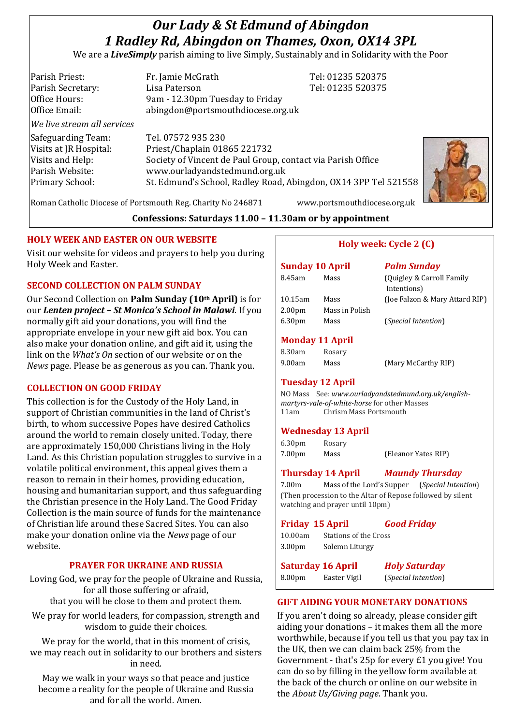# *Our Lady & St Edmund of Abingdon 1 Radley Rd, Abingdon on Thames, Oxon, OX14 3PL*

We are a *LiveSimply* parish aiming to live Simply, Sustainably and in Solidarity with the Poor

| Parish Priest:              | Fr. Jamie McGrath                                               | Tel: 01235 520375 |
|-----------------------------|-----------------------------------------------------------------|-------------------|
| Parish Secretary:           | Lisa Paterson                                                   | Tel: 01235 520375 |
| Office Hours:               | 9am - 12.30pm Tuesday to Friday                                 |                   |
| Office Email:               | abingdon@portsmouthdiocese.org.uk                               |                   |
| We live stream all services |                                                                 |                   |
| Safeguarding Team:          | Tel. 07572 935 230                                              |                   |
| Visits at JR Hospital:      | Priest/Chaplain 01865 221732                                    |                   |
| Visits and Help:            | Society of Vincent de Paul Group, contact via Parish Office     |                   |
| Parish Website:             | www.ourladyandstedmund.org.uk                                   |                   |
| Primary School:             | St. Edmund's School, Radley Road, Abingdon, OX14 3PP Tel 521558 |                   |
|                             |                                                                 |                   |



Roman Catholic Diocese of Portsmouth Reg. Charity No 246871 www.portsmouthdiocese.org.uk

## **Confessions: Saturdays 11.00 – 11.30am or by appointment**

## **HOLY WEEK AND EASTER ON OUR WEBSITE**

Visit our website for videos and prayers to help you during Holy Week and Easter.

## **SECOND COLLECTION ON PALM SUNDAY**

Our Second Collection on **Palm Sunday (10th April)** is for our *Lenten project – St Monica's School in Malawi*. If you normally gift aid your donations, you will find the appropriate envelope in your new gift aid box. You can also make your donation online, and gift aid it, using the link on the *What's On* section of our website or on the *News* page. Please be as generous as you can. Thank you.

## **COLLECTION ON GOOD FRIDAY**

This collection is for the Custody of the Holy Land, in support of Christian communities in the land of Christ's birth, to whom successive Popes have desired Catholics around the world to remain closely united. Today, there are approximately 150,000 Christians living in the Holy Land. As this Christian population struggles to survive in a volatile political environment, this appeal gives them a reason to remain in their homes, providing education, housing and humanitarian support, and thus safeguarding the Christian presence in the Holy Land. The Good Friday Collection is the main source of funds for the maintenance of Christian life around these Sacred Sites. You can also make your donation online via the *News* page of our website.

## **PRAYER FOR UKRAINE AND RUSSIA**

Loving God, we pray for the people of Ukraine and Russia, for all those suffering or afraid, that you will be close to them and protect them.

We pray for world leaders, for compassion, strength and wisdom to guide their choices.

We pray for the world, that in this moment of crisis, we may reach out in solidarity to our brothers and sisters in need.

May we walk in your ways so that peace and justice become a reality for the people of Ukraine and Russia and for all the world. Amen.

## **Holy week: Cycle 2 (C)**

| <b>Sunday 10 April</b> |                | <b>Palm Sunday</b>                       |
|------------------------|----------------|------------------------------------------|
| 8.45am                 | Mass           | (Quigley & Carroll Family<br>Intentions) |
| 10.15am                | Mass           | (Joe Falzon & Mary Attard RIP)           |
| 2.00 <sub>pm</sub>     | Mass in Polish |                                          |
| 6.30 <sub>pm</sub>     | Mass           | ( <i>Special Intention</i> )             |

#### **Monday 11 April**

| 8.30am | Rosary |                     |
|--------|--------|---------------------|
| 9.00am | Mass   | (Mary McCarthy RIP) |

## **Tuesday 12 April**

NO Mass See: *www.ourladyandstedmund.org.uk/englishmartyrs-vale-of-white-horse* for other Masses 11am Chrism Mass Portsmouth

#### **Wednesday 13 April**

| 6.30 <sub>pm</sub> | Rosary |                     |
|--------------------|--------|---------------------|
| 7.00pm             | Mass   | (Eleanor Yates RIP) |

## **Thursday 14 April** *Maundy Thursday*

7.00m Mass of the Lord's Supper (*Special Intention*) (Then procession to the Altar of Repose followed by silent watching and prayer until 10pm)

|                                                  | <b>Friday 15 April</b> | <b>Good Friday</b> |
|--------------------------------------------------|------------------------|--------------------|
| 10.00am                                          | Stations of the Cross  |                    |
| 3.00pm                                           | Solemn Liturgy         |                    |
| <b>Holy Saturday</b><br><b>Saturday 16 April</b> |                        |                    |

8.00pm Easter Vigil (*Special Intention*)

## **GIFT AIDING YOUR MONETARY DONATIONS**

If you aren't doing so already, please consider gift aiding your donations – it makes them all the more worthwhile, because if you tell us that you pay tax in the UK, then we can claim back 25% from the Government - that's 25p for every £1 you give! You can do so by filling in the yellow form available at the back of the church or online on our website in the *About Us/Giving page*. Thank you.